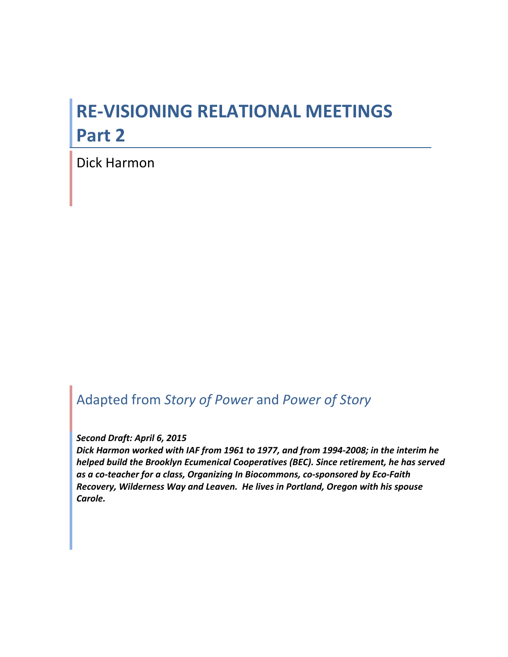# **RE-VISIONING RELATIONAL MEETINGS Part\*2**

Dick Harmon

# Adapted%from%*Story&of&Power*%and%*Power&of&Story*

#### Second Draft: April 6, 2015

Dick Harmon worked with IAF from 1961 to 1977, and from 1994-2008; in the interim he *helped build the Brooklyn Ecumenical Cooperatives (BEC). Since retirement, he has served* as a co-teacher for a class, Organizing In Biocommons, co-sponsored by Eco-Faith *Recovery,'Wilderness'Way'and'Leaven.''He'lives'in'Portland,'Oregon'with'his'spouse' Carole.*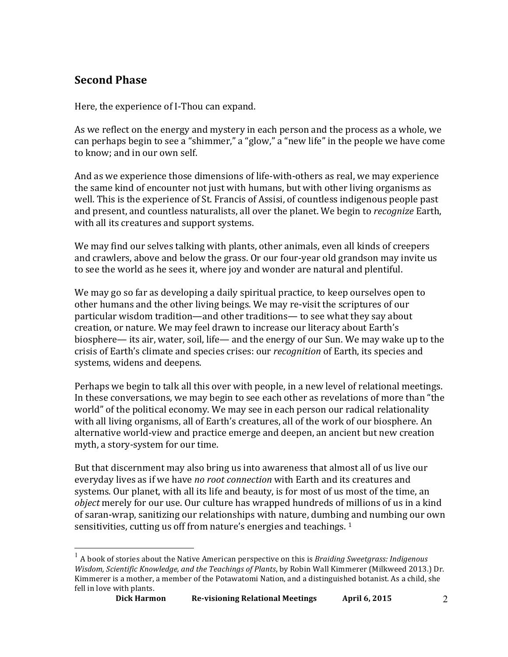## **Second Phase**

Here, the experience of I-Thou can expand.

As we reflect on the energy and mystery in each person and the process as a whole, we can perhaps begin to see a "shimmer," a "glow," a "new life" in the people we have come to know; and in our own self.

And as we experience those dimensions of life-with-others as real, we may experience the same kind of encounter not just with humans, but with other living organisms as well. This is the experience of St. Francis of Assisi, of countless indigenous people past and present, and countless naturalists, all over the planet. We begin to *recognize* Earth, with all its creatures and support systems.

We may find our selves talking with plants, other animals, even all kinds of creepers and crawlers, above and below the grass. Or our four-year old grandson may invite us to see the world as he sees it, where joy and wonder are natural and plentiful.

We may go so far as developing a daily spiritual practice, to keep ourselves open to other humans and the other living beings. We may re-visit the scriptures of our particular wisdom tradition—and other traditions— to see what they say about creation, or nature. We may feel drawn to increase our literacy about Earth's biosphere— its air, water, soil, life— and the energy of our Sun. We may wake up to the crisis of Earth's climate and species crises: our *recognition* of Earth, its species and systems, widens and deepens.

Perhaps we begin to talk all this over with people, in a new level of relational meetings. In these conversations, we may begin to see each other as revelations of more than "the world" of the political economy. We may see in each person our radical relationality with all living organisms, all of Earth's creatures, all of the work of our biosphere. An alternative world-view and practice emerge and deepen, an ancient but new creation myth, a story-system for our time.

But that discernment may also bring us into awareness that almost all of us live our everyday lives as if we have *no root connection* with Earth and its creatures and systems. Our planet, with all its life and beauty, is for most of us most of the time, an *object* merely for our use. Our culture has wrapped hundreds of millions of us in a kind of saran-wrap, sanitizing our relationships with nature, dumbing and numbing our own sensitivities, cutting us off from nature's energies and teachings. <sup>1</sup>

 $1$  A book of stories about the Native American perspective on this is *Braiding Sweetgrass: Indigenous Wisdom, Scientific Knowledge, and the Teachings of Plants*, by Robin Wall Kimmerer (Milkweed 2013.) Dr. Kimmerer is a mother, a member of the Potawatomi Nation, and a distinguished botanist. As a child, she fell in love with plants.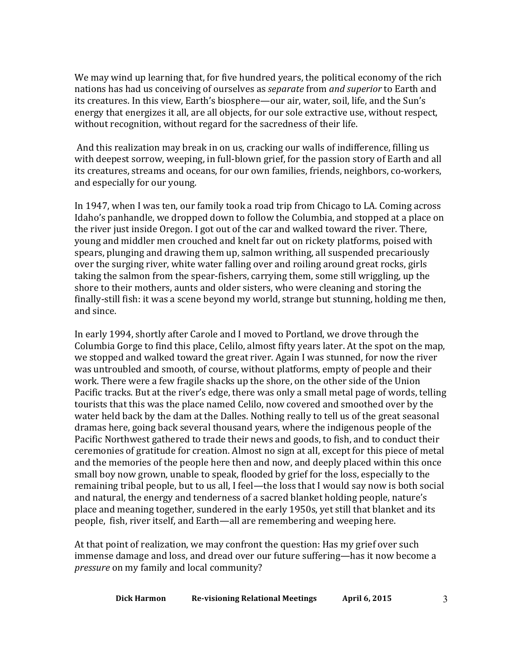We may wind up learning that, for five hundred years, the political economy of the rich hations has had us conceiving of ourselves as *separate* from *and superior* to Earth and its creatures. In this view, Earth's biosphere—our air, water, soil, life, and the Sun's energy that energizes it all, are all objects, for our sole extractive use, without respect, without recognition, without regard for the sacredness of their life.

And this realization may break in on us, cracking our walls of indifference, filling us with deepest sorrow, weeping, in full-blown grief, for the passion story of Earth and all its creatures, streams and oceans, for our own families, friends, neighbors, co-workers, and especially for our young.

In 1947, when I was ten, our family took a road trip from Chicago to LA. Coming across Idaho's panhandle, we dropped down to follow the Columbia, and stopped at a place on the river just inside Oregon. I got out of the car and walked toward the river. There, young and middler men crouched and knelt far out on rickety platforms, poised with spears, plunging and drawing them up, salmon writhing, all suspended precariously over the surging river, white water falling over and roiling around great rocks, girls taking the salmon from the spear-fishers, carrying them, some still wriggling, up the shore to their mothers, aunts and older sisters, who were cleaning and storing the finally-still fish: it was a scene beyond my world, strange but stunning, holding me then, and since.

In early 1994, shortly after Carole and I moved to Portland, we drove through the Columbia Gorge to find this place, Celilo, almost fifty years later. At the spot on the map, we stopped and walked toward the great river. Again I was stunned, for now the river was untroubled and smooth, of course, without platforms, empty of people and their work. There were a few fragile shacks up the shore, on the other side of the Union Pacific tracks. But at the river's edge, there was only a small metal page of words, telling tourists that this was the place named Celilo, now covered and smoothed over by the water held back by the dam at the Dalles. Nothing really to tell us of the great seasonal dramas here, going back several thousand years, where the indigenous people of the Pacific Northwest gathered to trade their news and goods, to fish, and to conduct their ceremonies of gratitude for creation. Almost no sign at all, except for this piece of metal and the memories of the people here then and now, and deeply placed within this once small boy now grown, unable to speak, flooded by grief for the loss, especially to the remaining tribal people, but to us all, I feel—the loss that I would say now is both social and natural, the energy and tenderness of a sacred blanket holding people, nature's place and meaning together, sundered in the early 1950s, yet still that blanket and its people, fish, river itself, and Earth—all are remembering and weeping here.

At that point of realization, we may confront the question: Has my grief over such immense damage and loss, and dread over our future suffering—has it now become a *pressure* on my family and local community?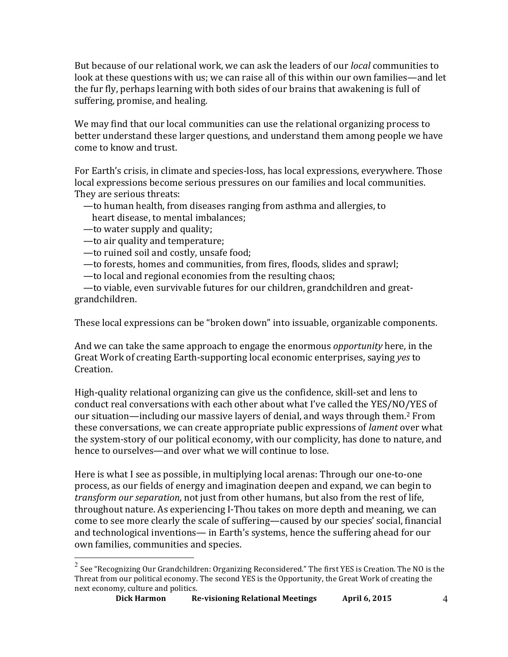But because of our relational work, we can ask the leaders of our *local* communities to look at these questions with us; we can raise all of this within our own families—and let the fur fly, perhaps learning with both sides of our brains that awakening is full of suffering, promise, and healing.

We may find that our local communities can use the relational organizing process to better understand these larger questions, and understand them among people we have come to know and trust.

For Earth's crisis, in climate and species-loss, has local expressions, everywhere. Those local expressions become serious pressures on our families and local communities. They are serious threats:

- to human health, from diseases ranging from asthma and allergies, to
- heart disease, to mental imbalances;
- $-$ to water supply and quality;
- $-$ to air quality and temperature;
- to ruined soil and costly, unsafe food;
- to forests, homes and communities, from fires, floods, slides and sprawl;
- to local and regional economies from the resulting chaos;

- to viable, even survivable futures for our children, grandchildren and greatgrandchildren.

These local expressions can be "broken down" into issuable, organizable components.

And we can take the same approach to engage the enormous *opportunity* here, in the Great Work of creating Earth-supporting local economic enterprises, saying *yes* to Creation.

High-quality relational organizing can give us the confidence, skill-set and lens to conduct real conversations with each other about what I've called the YES/NO/YES of our situation—including our massive layers of denial, and ways through them.<sup>2</sup> From these conversations, we can create appropriate public expressions of *lament* over what the system-story of our political economy, with our complicity, has done to nature, and hence to ourselves—and over what we will continue to lose.

Here is what I see as possible, in multiplying local arenas: Through our one-to-one process, as our fields of energy and imagination deepen and expand, we can begin to *transform our separation*, not just from other humans, but also from the rest of life, throughout nature. As experiencing I-Thou takes on more depth and meaning, we can come to see more clearly the scale of suffering—caused by our species' social, financial and technological inventions— in Earth's systems, hence the suffering ahead for our own families, communities and species.

 $^2$  See "Recognizing Our Grandchildren: Organizing Reconsidered." The first YES is Creation. The NO is the Threat from our political economy. The second YES is the Opportunity, the Great Work of creating the next economy, culture and politics.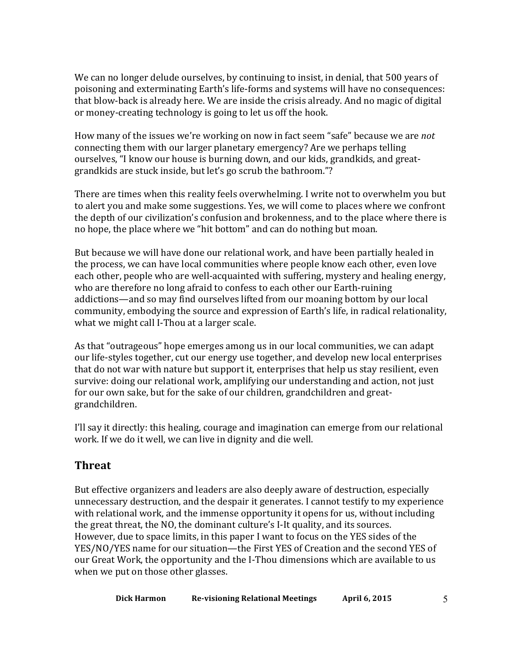We can no longer delude ourselves, by continuing to insist, in denial, that 500 years of poisoning and exterminating Earth's life-forms and systems will have no consequences: that blow-back is already here. We are inside the crisis already. And no magic of digital or money-creating technology is going to let us off the hook.

How many of the issues we're working on now in fact seem "safe" because we are *not* connecting them with our larger planetary emergency? Are we perhaps telling ourselves, "I know our house is burning down, and our kids, grandkids, and greatgrandkids are stuck inside, but let's go scrub the bathroom."?

There are times when this reality feels overwhelming. I write not to overwhelm you but to alert you and make some suggestions. Yes, we will come to places where we confront the depth of our civilization's confusion and brokenness, and to the place where there is no hope, the place where we "hit bottom" and can do nothing but moan.

But because we will have done our relational work, and have been partially healed in the process, we can have local communities where people know each other, even love each other, people who are well-acquainted with suffering, mystery and healing energy, who are therefore no long afraid to confess to each other our Earth-ruining addictions—and so may find ourselves lifted from our moaning bottom by our local community, embodying the source and expression of Earth's life, in radical relationality, what we might call I-Thou at a larger scale.

As that "outrageous" hope emerges among us in our local communities, we can adapt our life-styles together, cut our energy use together, and develop new local enterprises that do not war with nature but support it, enterprises that help us stay resilient, even survive: doing our relational work, amplifying our understanding and action, not just for our own sake, but for the sake of our children, grandchildren and greatgrandchildren.

I'll say it directly: this healing, courage and imagination can emerge from our relational work. If we do it well, we can live in dignity and die well.

### **Threat**

But effective organizers and leaders are also deeply aware of destruction, especially unnecessary destruction, and the despair it generates. I cannot testify to my experience with relational work, and the immense opportunity it opens for us, without including the great threat, the NO, the dominant culture's I-It quality, and its sources. However, due to space limits, in this paper I want to focus on the YES sides of the YES/NO/YES name for our situation—the First YES of Creation and the second YES of our Great Work, the opportunity and the I-Thou dimensions which are available to us when we put on those other glasses.